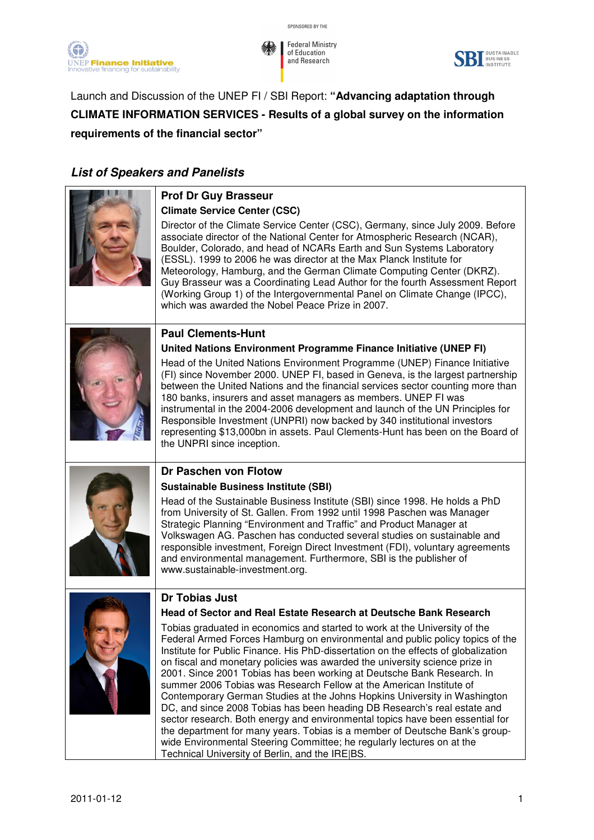



Launch and Discussion of the UNEP FI / SBI Report: **"Advancing adaptation through CLIMATE INFORMATION SERVICES - Results of a global survey on the information requirements of the financial sector"** 

## **List of Speakers and Panelists**

|  | <b>Prof Dr Guy Brasseur</b>                                                                                                                                                                                                                                                                                                                                                                                                                                                                                                                                                                                                                                                                                                                                                                                                                                                                                                             |
|--|-----------------------------------------------------------------------------------------------------------------------------------------------------------------------------------------------------------------------------------------------------------------------------------------------------------------------------------------------------------------------------------------------------------------------------------------------------------------------------------------------------------------------------------------------------------------------------------------------------------------------------------------------------------------------------------------------------------------------------------------------------------------------------------------------------------------------------------------------------------------------------------------------------------------------------------------|
|  | <b>Climate Service Center (CSC)</b><br>Director of the Climate Service Center (CSC), Germany, since July 2009. Before<br>associate director of the National Center for Atmospheric Research (NCAR),<br>Boulder, Colorado, and head of NCARs Earth and Sun Systems Laboratory<br>(ESSL). 1999 to 2006 he was director at the Max Planck Institute for<br>Meteorology, Hamburg, and the German Climate Computing Center (DKRZ).<br>Guy Brasseur was a Coordinating Lead Author for the fourth Assessment Report<br>(Working Group 1) of the Intergovernmental Panel on Climate Change (IPCC),<br>which was awarded the Nobel Peace Prize in 2007.                                                                                                                                                                                                                                                                                         |
|  | <b>Paul Clements-Hunt</b>                                                                                                                                                                                                                                                                                                                                                                                                                                                                                                                                                                                                                                                                                                                                                                                                                                                                                                               |
|  | United Nations Environment Programme Finance Initiative (UNEP FI)                                                                                                                                                                                                                                                                                                                                                                                                                                                                                                                                                                                                                                                                                                                                                                                                                                                                       |
|  | Head of the United Nations Environment Programme (UNEP) Finance Initiative<br>(FI) since November 2000. UNEP FI, based in Geneva, is the largest partnership<br>between the United Nations and the financial services sector counting more than<br>180 banks, insurers and asset managers as members. UNEP FI was<br>instrumental in the 2004-2006 development and launch of the UN Principles for<br>Responsible Investment (UNPRI) now backed by 340 institutional investors<br>representing \$13,000bn in assets. Paul Clements-Hunt has been on the Board of<br>the UNPRI since inception.                                                                                                                                                                                                                                                                                                                                          |
|  | Dr Paschen von Flotow                                                                                                                                                                                                                                                                                                                                                                                                                                                                                                                                                                                                                                                                                                                                                                                                                                                                                                                   |
|  | <b>Sustainable Business Institute (SBI)</b>                                                                                                                                                                                                                                                                                                                                                                                                                                                                                                                                                                                                                                                                                                                                                                                                                                                                                             |
|  | Head of the Sustainable Business Institute (SBI) since 1998. He holds a PhD<br>from University of St. Gallen. From 1992 until 1998 Paschen was Manager<br>Strategic Planning "Environment and Traffic" and Product Manager at<br>Volkswagen AG. Paschen has conducted several studies on sustainable and<br>responsible investment, Foreign Direct Investment (FDI), voluntary agreements<br>and environmental management. Furthermore, SBI is the publisher of<br>www.sustainable-investment.org.                                                                                                                                                                                                                                                                                                                                                                                                                                      |
|  | <b>Dr Tobias Just</b>                                                                                                                                                                                                                                                                                                                                                                                                                                                                                                                                                                                                                                                                                                                                                                                                                                                                                                                   |
|  | Head of Sector and Real Estate Research at Deutsche Bank Research                                                                                                                                                                                                                                                                                                                                                                                                                                                                                                                                                                                                                                                                                                                                                                                                                                                                       |
|  | Tobias graduated in economics and started to work at the University of the<br>Federal Armed Forces Hamburg on environmental and public policy topics of the<br>Institute for Public Finance. His PhD-dissertation on the effects of globalization<br>on fiscal and monetary policies was awarded the university science prize in<br>2001. Since 2001 Tobias has been working at Deutsche Bank Research. In<br>summer 2006 Tobias was Research Fellow at the American Institute of<br>Contemporary German Studies at the Johns Hopkins University in Washington<br>DC, and since 2008 Tobias has been heading DB Research's real estate and<br>sector research. Both energy and environmental topics have been essential for<br>the department for many years. Tobias is a member of Deutsche Bank's group-<br>wide Environmental Steering Committee; he regularly lectures on at the<br>Technical University of Berlin, and the IRE BS. |